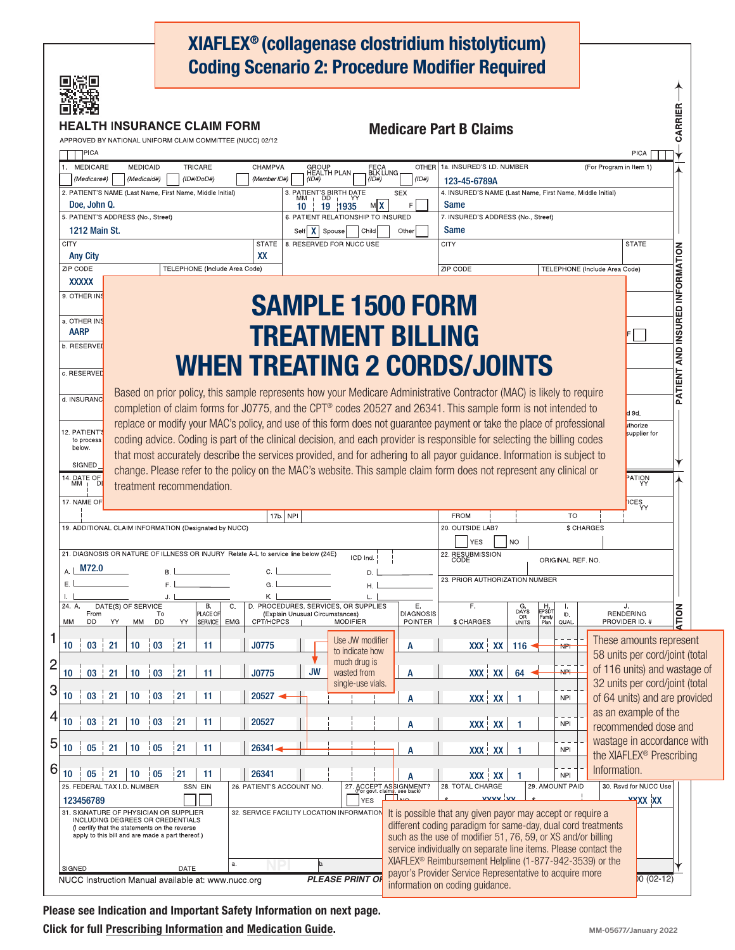|                                                                                                                                     | H INSURANCE CLAIM FORM           |                               |                           |                                 |                                                                     |                        | XIAFLEX <sup>®</sup> (collagenase clostridium histolyticum)<br><b>Coding Scenario 2: Procedure Modifier Required</b>                                                                                                                 |                                                                                            |                 |                               |                                                           | CARRIER                    |  |
|-------------------------------------------------------------------------------------------------------------------------------------|----------------------------------|-------------------------------|---------------------------|---------------------------------|---------------------------------------------------------------------|------------------------|--------------------------------------------------------------------------------------------------------------------------------------------------------------------------------------------------------------------------------------|--------------------------------------------------------------------------------------------|-----------------|-------------------------------|-----------------------------------------------------------|----------------------------|--|
| APPROVED BY NATIONAL UNIFORM CLAIM COMMITTEE (NUCC) 02/12                                                                           |                                  |                               |                           |                                 |                                                                     |                        | <b>Medicare Part B Claims</b>                                                                                                                                                                                                        |                                                                                            |                 |                               |                                                           |                            |  |
| PICA                                                                                                                                |                                  |                               |                           |                                 |                                                                     |                        |                                                                                                                                                                                                                                      |                                                                                            |                 |                               | PICA                                                      |                            |  |
| <b>MEDICARE</b><br><b>MEDICAID</b><br>(Medicaid#)<br>(Medicare#)                                                                    | <b>TRICARE</b>                   | (ID#/DoD#)                    | CHAMPVA<br>(Member ID#)   | (1D#)                           | GROUP<br>HEALTH PLAN<br>FECA<br>BLK LUNG<br>(1D#)                   | <b>OTHER</b><br>(ID#)  | 1a. INSURED'S I.D. NUMBER<br>123-45-6789A                                                                                                                                                                                            |                                                                                            |                 | (For Program in Item 1)       |                                                           |                            |  |
| 3. PATIENT'S BIRTH DATE<br>MM + DD + YY<br>2. PATIENT'S NAME (Last Name, First Name, Middle Initial)<br><b>SEX</b>                  |                                  |                               |                           |                                 |                                                                     |                        | 4. INSURED'S NAME (Last Name, First Name, Middle Initial)                                                                                                                                                                            |                                                                                            |                 |                               |                                                           |                            |  |
| Doe, John Q.<br>м х<br>$10 \parallel 19 \parallel 1935$<br>5. PATIENT'S ADDRESS (No., Street)<br>6. PATIENT RELATIONSHIP TO INSURED |                                  |                               |                           |                                 |                                                                     | Е                      | <b>Same</b><br>7. INSURED'S ADDRESS (No., Street)                                                                                                                                                                                    |                                                                                            |                 |                               |                                                           |                            |  |
| 1212 Main St.                                                                                                                       |                                  |                               |                           |                                 | Self   X   Spouse<br>Same<br>Other<br>Child                         |                        |                                                                                                                                                                                                                                      |                                                                                            |                 |                               |                                                           |                            |  |
| <b>CITY</b><br><b>Any City</b>                                                                                                      |                                  |                               | <b>STATE</b><br>XX        |                                 | 8. RESERVED FOR NUCC USE                                            |                        | CITY                                                                                                                                                                                                                                 |                                                                                            |                 |                               | <b>STATE</b>                                              |                            |  |
| ZIP CODE                                                                                                                            |                                  | TELEPHONE (Include Area Code) |                           |                                 |                                                                     |                        | <b>ZIP CODE</b>                                                                                                                                                                                                                      |                                                                                            |                 | TELEPHONE (Include Area Code) |                                                           | <b>INSURED INFORMATION</b> |  |
| <b>XXXXX</b><br>9. OTHER INS                                                                                                        |                                  |                               |                           |                                 |                                                                     |                        |                                                                                                                                                                                                                                      |                                                                                            |                 |                               |                                                           |                            |  |
|                                                                                                                                     |                                  |                               |                           |                                 | <b>SAMPLE 1500 FORM</b>                                             |                        |                                                                                                                                                                                                                                      |                                                                                            |                 |                               |                                                           |                            |  |
| a. OTHER INS<br><b>AARP</b>                                                                                                         |                                  |                               |                           |                                 |                                                                     |                        |                                                                                                                                                                                                                                      |                                                                                            |                 |                               |                                                           |                            |  |
| b. RESERVEI                                                                                                                         |                                  |                               |                           |                                 | <b>TREATMENT BILLING</b>                                            |                        |                                                                                                                                                                                                                                      |                                                                                            |                 |                               |                                                           |                            |  |
|                                                                                                                                     |                                  |                               |                           |                                 |                                                                     |                        | <b>WHEN TREATING 2 CORDS/JOINTS</b>                                                                                                                                                                                                  |                                                                                            |                 |                               |                                                           | AND                        |  |
| c. RESERVED                                                                                                                         |                                  |                               |                           |                                 |                                                                     |                        |                                                                                                                                                                                                                                      |                                                                                            |                 |                               |                                                           | PATIENT                    |  |
| d. INSURANC                                                                                                                         |                                  |                               |                           |                                 |                                                                     |                        | Based on prior policy, this sample represents how your Medicare Administrative Contractor (MAC) is likely to require<br>completion of claim forms for J0775, and the CPT® codes 20527 and 26341. This sample form is not intended to |                                                                                            |                 |                               |                                                           |                            |  |
|                                                                                                                                     |                                  |                               |                           |                                 |                                                                     |                        | replace or modify your MAC's policy, and use of this form does not guarantee payment or take the place of professional                                                                                                               |                                                                                            |                 |                               | d 9d.<br>uthorize                                         |                            |  |
| 12. PATIENT'<br>to process<br>below.                                                                                                |                                  |                               |                           |                                 |                                                                     |                        | coding advice. Coding is part of the clinical decision, and each provider is responsible for selecting the billing codes                                                                                                             |                                                                                            |                 |                               | supplier for                                              |                            |  |
| SIGNED                                                                                                                              |                                  |                               |                           |                                 |                                                                     |                        | that most accurately describe the services provided, and for adhering to all payor guidance. Information is subject to                                                                                                               |                                                                                            |                 |                               |                                                           |                            |  |
| 14. DATE OF                                                                                                                         |                                  |                               |                           |                                 |                                                                     |                        | change. Please refer to the policy on the MAC's website. This sample claim form does not represent any clinical or                                                                                                                   |                                                                                            |                 |                               | PATION                                                    |                            |  |
| 17, NAME OF                                                                                                                         | treatment recommendation.        |                               |                           |                                 |                                                                     |                        |                                                                                                                                                                                                                                      |                                                                                            |                 |                               |                                                           |                            |  |
|                                                                                                                                     | 17b. NPI                         |                               |                           |                                 |                                                                     |                        |                                                                                                                                                                                                                                      |                                                                                            | <b>TO</b>       |                               | <b>ICES</b>                                               |                            |  |
| 19. ADDITIONAL CLAIM INFORMATION (Designated by NUCC)                                                                               |                                  |                               |                           |                                 |                                                                     |                        | 20. OUTSIDE LAB?<br>\$ CHARGES                                                                                                                                                                                                       |                                                                                            |                 |                               |                                                           |                            |  |
| 21. DIAGNOSIS OR NATURE OF ILLNESS OR INJURY Relate A-L to service line below (24E)<br>ICD Ind.                                     |                                  |                               |                           |                                 |                                                                     |                        | <b>NO</b><br><b>YES</b><br>22. RESUBMISSION<br>CODE                                                                                                                                                                                  |                                                                                            |                 |                               |                                                           |                            |  |
| M72.0<br>Α.<br>B. I<br>C.<br>D.                                                                                                     |                                  |                               |                           |                                 |                                                                     |                        | ORIGINAL REF. NO.<br>23. PRIOR AUTHORIZATION NUMBER                                                                                                                                                                                  |                                                                                            |                 |                               |                                                           |                            |  |
| Ε.<br>L.                                                                                                                            | E.<br>G.<br>Η.<br>Κ.<br>J.<br>L. |                               |                           |                                 |                                                                     |                        |                                                                                                                                                                                                                                      |                                                                                            |                 |                               |                                                           |                            |  |
| DATE(S) OF SERVICE<br>24 A<br>From                                                                                                  | To                               | Β.<br>C.<br>PLACE OF          |                           | (Explain Unusual Circumstances) | D. PROCEDURES, SERVICES, OR SUPPLIES                                | Ε.<br><b>DIAGNOSIS</b> | F.                                                                                                                                                                                                                                   | H<br>EPSDT<br>Family<br>Plan<br>$\begin{array}{c}\nG.\\DAYS\\ \nOR\\ \nUNITS\n\end{array}$ | Τ.<br>ID.       |                               | J.<br><b>RENDERING</b>                                    | <b>ATION</b>               |  |
| <b>DD</b><br>МM<br>YY<br>МM                                                                                                         | DD<br>YY                         | SERVICE<br><b>EMG</b>         | CPT/HCPCS                 |                                 | <b>MODIFIER</b>                                                     | POINTER                | \$ CHARGES                                                                                                                                                                                                                           |                                                                                            | QUAL.           |                               | PROVIDER ID. #                                            |                            |  |
| 1<br>21<br>10<br>10<br>03                                                                                                           | 21<br>03                         | 11                            | J0775                     |                                 | Use JW modifier<br>to indicate how                                  | A                      | <b>XXX XX</b>                                                                                                                                                                                                                        | 116                                                                                        | <b>NPH</b>      |                               | These amounts represent<br>58 units per cord/joint (total |                            |  |
| $\overline{c}$<br>21<br>10<br>10<br>03                                                                                              | 03<br>21                         | 11                            | J0775                     | <b>JW</b>                       | much drug is<br>wasted from                                         | A                      | XXX XX                                                                                                                                                                                                                               | 64                                                                                         | <b>NPL</b>      |                               | of 116 units) and wastage of                              |                            |  |
| 3                                                                                                                                   |                                  |                               |                           |                                 | single-use vials.                                                   |                        |                                                                                                                                                                                                                                      |                                                                                            |                 |                               | 32 units per cord/joint (total                            |                            |  |
| 10<br>21<br>10<br>03                                                                                                                | 21<br>03                         | 11                            | 20527                     |                                 |                                                                     | A                      | XXX XX                                                                                                                                                                                                                               |                                                                                            | <b>NPI</b>      |                               | of 64 units) and are provided                             |                            |  |
| 4<br>21<br>10<br>10<br>03                                                                                                           | 21<br>03                         | 11                            | 20527                     |                                 |                                                                     | A                      | XXX XX                                                                                                                                                                                                                               | $\mathbf{1}$                                                                               | <b>NPI</b>      |                               | as an example of the<br>recommended dose and              |                            |  |
| 5                                                                                                                                   |                                  |                               |                           |                                 |                                                                     |                        |                                                                                                                                                                                                                                      |                                                                                            |                 |                               | wastage in accordance with                                |                            |  |
| 21<br>10<br>10<br>05                                                                                                                | 21<br>05                         | 11                            | 26341                     |                                 |                                                                     | A                      | XXX XX                                                                                                                                                                                                                               |                                                                                            | <b>NPI</b>      |                               | the XIAFLEX <sup>®</sup> Prescribing                      |                            |  |
| 6<br>21<br>10<br>10<br>05                                                                                                           | 21<br>05                         | 11                            | 26341                     |                                 |                                                                     |                        | XXX XX                                                                                                                                                                                                                               |                                                                                            | <b>NPI</b>      | Information.                  |                                                           |                            |  |
| 25. FEDERAL TAX I.D. NUMBER<br>123456789                                                                                            | SSN EIN                          |                               | 26. PATIENT'S ACCOUNT NO. |                                 | 27. ACCEPT ASSIGNMENT?<br>For govt. claims, see back)<br><b>YES</b> |                        | 28. TOTAL CHARGE<br>vvvv vv                                                                                                                                                                                                          |                                                                                            | 29. AMOUNT PAID |                               | 30. Rsvd for NUCC Use<br><b>xxx</b> xx                    |                            |  |
| 31. SIGNATURE OF PHYSICIAN OR SUPPLIER<br><b>INCLUDING DEGREES OR CREDENTIALS</b>                                                   |                                  |                               |                           |                                 | 32. SERVICE FACILITY LOCATION INFORMATION                           |                        | It is possible that any given payor may accept or require a                                                                                                                                                                          |                                                                                            |                 |                               |                                                           |                            |  |
| (I certify that the statements on the reverse<br>apply to this bill and are made a part thereof.)                                   |                                  |                               |                           |                                 |                                                                     |                        | different coding paradigm for same-day, dual cord treatments<br>such as the use of modifier 51, 76, 59, or XS and/or billing                                                                                                         |                                                                                            |                 |                               |                                                           |                            |  |
|                                                                                                                                     |                                  |                               |                           |                                 |                                                                     |                        | service individually on separate line items. Please contact the                                                                                                                                                                      |                                                                                            |                 |                               |                                                           |                            |  |
| SIGNED                                                                                                                              | DATE                             | a.                            |                           | þ.                              |                                                                     |                        | XIAFLEX <sup>®</sup> Reimbursement Helpline (1-877-942-3539) or the<br>payor's Provider Service Representative to acquire more                                                                                                       |                                                                                            |                 |                               |                                                           |                            |  |
| NUCC Instruction Manual available at: www.nucc.org                                                                                  |                                  |                               |                           |                                 | <b>PLEASE PRINT OI</b>                                              |                        | information on coding guidance.                                                                                                                                                                                                      |                                                                                            |                 |                               | $0(02-12)$                                                |                            |  |

Please see Indication and Important Safety Information on next page. Click for full [Prescribing Information](https://endodocuments.com/XIAFLEX/PI) and [Medication Guide](https://endodocuments.com/XIAFLEX/MG).